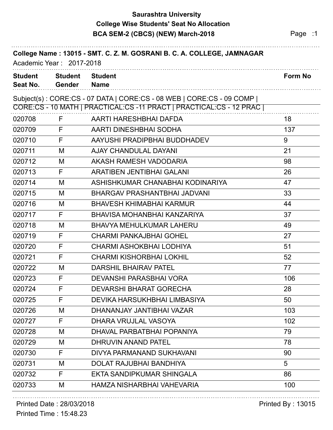## **Saurashtra University BCA SEM-2 (CBCS) (NEW) March-2018 Page :1 College Wise Students' Seat No Allocation**

|                            | Academic Year: 2017-2018        | College Name: 13015 - SMT. C. Z. M. GOSRANI B. C. A. COLLEGE, JAMNAGAR                                                                        |                |
|----------------------------|---------------------------------|-----------------------------------------------------------------------------------------------------------------------------------------------|----------------|
| <b>Student</b><br>Seat No. | <b>Student</b><br><b>Gender</b> | <b>Student</b><br><b>Name</b>                                                                                                                 | <b>Form No</b> |
|                            |                                 | Subject(s): CORE:CS - 07 DATA   CORE:CS - 08 WEB   CORE:CS - 09 COMP  <br>CORE:CS - 10 MATH   PRACTICAL:CS -11 PRACT   PRACTICAL:CS - 12 PRAC |                |
| 020708                     | F                               | AARTI HARESHBHAI DAFDA                                                                                                                        | 18             |
| 020709                     | F                               | AARTI DINESHBHAI SODHA                                                                                                                        | 137            |
| 020710                     | F                               | AAYUSHI PRADIPBHAI BUDDHADEV                                                                                                                  | 9              |
| 020711                     | M                               | <b>AJAY CHANDULAL DAYANI</b>                                                                                                                  | 21             |
| 020712                     | M                               | AKASH RAMESH VADODARIA                                                                                                                        | 98             |
| 020713                     | F                               | <b>ARATIBEN JENTIBHAI GALANI</b>                                                                                                              | 26             |
| 020714                     | M                               | ASHISHKUMAR CHANABHAI KODINARIYA                                                                                                              | 47             |
| 020715                     | M                               | BHARGAV PRASHANTBHAI JADVANI                                                                                                                  | 33             |
| 020716                     | M                               | <b>BHAVESH KHIMABHAI KARMUR</b>                                                                                                               | 44             |
| 020717                     | F                               | BHAVISA MOHANBHAI KANZARIYA                                                                                                                   | 37             |
| 020718                     | M                               | <b>BHAVYA MEHULKUMAR LAHERU</b>                                                                                                               | 49             |
| 020719                     | F                               | <b>CHARMI PANKAJBHAI GOHEL</b>                                                                                                                | 27             |
| 020720                     | F                               | <b>CHARMI ASHOKBHAI LODHIYA</b>                                                                                                               | 51             |
| 020721                     | F                               | <b>CHARMI KISHORBHAI LOKHIL</b>                                                                                                               | 52             |
| 020722                     | M                               | <b>DARSHIL BHAIRAV PATEL</b>                                                                                                                  | 77             |
| 020723                     | F                               | DEVANSHI PARASBHAI VORA                                                                                                                       | 106            |
| 020724                     | F                               | <b>DEVARSHI BHARAT GORECHA</b>                                                                                                                | 28             |
| 020725                     | F                               | DEVIKA HARSUKHBHAI LIMBASIYA                                                                                                                  | 50             |
| 020726                     | M                               | DHANANJAY JANTIBHAI VAZAR                                                                                                                     | 103            |
| 020727                     | F                               | DHARA VRUJLAL VASOYA                                                                                                                          | 102            |
| 020728                     | M                               | DHAVAL PARBATBHAI POPANIYA                                                                                                                    | 79             |
| 020729                     | M                               | DHRUVIN ANAND PATEL                                                                                                                           | 78             |
| 020730                     | F                               | DIVYA PARMANAND SUKHAVANI                                                                                                                     | 90             |
| 020731                     | M                               | <b>DOLAT RAJUBHAI BANDHIYA</b>                                                                                                                | 5              |
| 020732                     | F                               | EKTA SANDIPKUMAR SHINGALA                                                                                                                     | 86             |
| 020733                     | M                               | HAMZA NISHARBHAI VAHEVARIA                                                                                                                    | 100            |

#### Printed Date : 28/03/2018 **Printed By : 13015**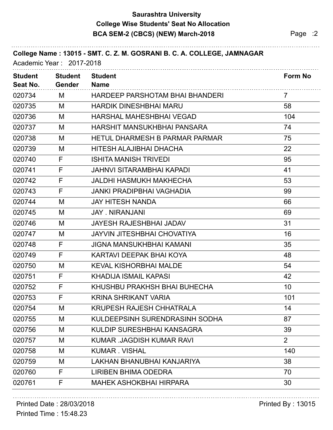## **Saurashtra University BCA SEM-2 (CBCS) (NEW) March-2018 Page :2 College Wise Students' Seat No Allocation**

| <b>Student</b><br>Seat No. | <b>Student</b><br><b>Gender</b> | <b>Student</b><br><b>Name</b>         | Form No         |
|----------------------------|---------------------------------|---------------------------------------|-----------------|
| 020734                     | M                               | HARDEEP PARSHOTAM BHAI BHANDERI       | 7               |
| 020735                     | M                               | <b>HARDIK DINESHBHAI MARU</b>         | 58              |
| 020736                     | M                               | <b>HARSHAL MAHESHBHAI VEGAD</b>       | 104             |
| 020737                     | M                               | HARSHIT MANSUKHBHAI PANSARA           | 74              |
| 020738                     | M                               | <b>HETUL DHARMESH B PARMAR PARMAR</b> | 75              |
| 020739                     | M                               | HITESH ALAJIBHAI DHACHA               | 22              |
| 020740                     | F                               | <b>ISHITA MANISH TRIVEDI</b>          | 95              |
| 020741                     | F                               | <b>JAHNVI SITARAMBHAI KAPADI</b>      | 41              |
| 020742                     | F                               | JALDHI HASMUKH MAKHECHA               | 53              |
| 020743                     | F                               | <b>JANKI PRADIPBHAI VAGHADIA</b>      | 99              |
| 020744                     | M                               | <b>JAY HITESH NANDA</b>               | 66              |
| 020745                     | M                               | <b>JAY, NIRANJANI</b>                 | 69              |
| 020746                     | M                               | <b>JAYESH RAJESHBHAI JADAV</b>        | 31              |
| 020747                     | M                               | <b>JAYVIN JITESHBHAI CHOVATIYA</b>    | 16              |
| 020748                     | F                               | <b>JIGNA MANSUKHBHAI KAMANI</b>       | 35              |
| 020749                     | F                               | KARTAVI DEEPAK BHAI KOYA              | 48              |
| 020750                     | M                               | <b>KEVAL KISHORBHAI MALDE</b>         | 54              |
| 020751                     | F                               | <b>KHADIJA ISMAIL KAPASI</b>          | 42              |
| 020752                     | F                               | KHUSHBU PRAKHSH BHAI BUHECHA          | 10 <sup>°</sup> |
| 020753                     | F                               | <b>KRINA SHRIKANT VARIA</b>           | 101             |
| 020754                     | M                               | <b>KRUPESH RAJESH CHHATRALA</b>       | 14              |
| 020755                     | M                               | KULDEEPSINH SURENDRASINH SODHA        | 87              |
| 020756                     | M                               | KULDIP SURESHBHAI KANSAGRA            | 39              |
| 020757                     | M                               | KUMAR .JAGDISH KUMAR RAVI             | $\overline{2}$  |
| 020758                     | M                               | <b>KUMAR. VISHAL</b>                  | 140             |
| 020759                     | M                               | LAKHAN BHANUBHAI KANJARIYA            | 38              |
| 020760                     | F                               | <b>LIRIBEN BHIMA ODEDRA</b>           | 70              |
| 020761                     | F                               | <b>MAHEK ASHOKBHAI HIRPARA</b>        | 30              |

#### Printed Date : 28/03/2018 **Printed By : 13015**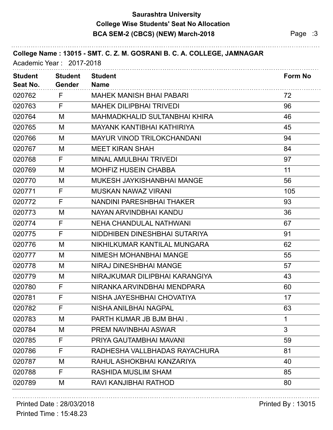### **Saurashtra University BCA SEM-2 (CBCS) (NEW) March-2018 Page :3 College Wise Students' Seat No Allocation**

| College Name: 13015 - SMT. C. Z. M. GOSRANI B. C. A. COLLEGE, JAMNAGAR<br>Academic Year: 2017-2018 |                                 |                                      |                |
|----------------------------------------------------------------------------------------------------|---------------------------------|--------------------------------------|----------------|
| <b>Student</b><br>Seat No.                                                                         | <b>Student</b><br><b>Gender</b> | <b>Student</b><br><b>Name</b>        | Form No        |
| 020762                                                                                             | F                               | <b>MAHEK MANISH BHAI PABARI</b>      | 72             |
| 020763                                                                                             | F                               | <b>MAHEK DILIPBHAI TRIVEDI</b>       | 96             |
| 020764                                                                                             | M                               | <b>MAHMADKHALID SULTANBHAI KHIRA</b> | 46             |
| 020765                                                                                             | M                               | MAYANK KANTIBHAI KATHIRIYA           | 45             |
| 020766                                                                                             | M                               | <b>MAYUR VINOD TRILOKCHANDANI</b>    | 94             |
| 020767                                                                                             | M                               | <b>MEET KIRAN SHAH</b>               | 84             |
| 020768                                                                                             | F                               | <b>MINAL AMULBHAI TRIVEDI</b>        | 97             |
| 020769                                                                                             | M                               | <b>MOHFIZ HUSEIN CHABBA</b>          | 11             |
| 020770                                                                                             | M                               | MUKESH JAYKISHANBHAI MANGE           | 56             |
| 020771                                                                                             | F                               | <b>MUSKAN NAWAZ VIRANI</b>           | 105            |
| 020772                                                                                             | F                               | NANDINI PARESHBHAI THAKER            | 93             |
| 020773                                                                                             | M                               | NAYAN ARVINDBHAI KANDU               | 36             |
| 020774                                                                                             | F                               | NEHA CHANDULAL NATHWANI              | 67             |
| 020775                                                                                             | F                               | NIDDHIBEN DINESHBHAI SUTARIYA        | 91             |
| 020776                                                                                             | M                               | NIKHILKUMAR KANTILAL MUNGARA         | 62             |
| 020777                                                                                             | M                               | NIMESH MOHANBHAI MANGE               | 55             |
| 020778                                                                                             | M                               | NIRAJ DINESHBHAI MANGE               | 57             |
| 020779                                                                                             | M                               | NIRAJKUMAR DILIPBHAI KARANGIYA       | 43             |
| 020780                                                                                             | F                               | NIRANKA ARVINDBHAI MENDPARA          | 60             |
| 020781                                                                                             | F                               | NISHA JAYESHBHAI CHOVATIYA           | 17             |
| 020782                                                                                             | F                               | NISHA ANILBHAI NAGPAL                | 63             |
| 020783                                                                                             | M                               | PARTH KUMAR JB BJM BHAI.             | 1              |
| 020784                                                                                             | M                               | <b>PREM NAVINBHAI ASWAR</b>          | $\mathfrak{S}$ |
| 020785                                                                                             | F                               | PRIYA GAUTAMBHAI MAVANI              | 59             |
| 020786                                                                                             | F                               | RADHESHA VALLBHADAS RAYACHURA        | 81             |
| 020787                                                                                             | M                               | RAHUL ASHOKBHAI KANZARIYA            | 40             |
| 020788                                                                                             | F                               | RASHIDA MUSLIM SHAM                  | 85             |
| 020789                                                                                             | M                               | RAVI KANJIBHAI RATHOD                | 80             |

#### Printed Date : 28/03/2018 **Printed By : 13015**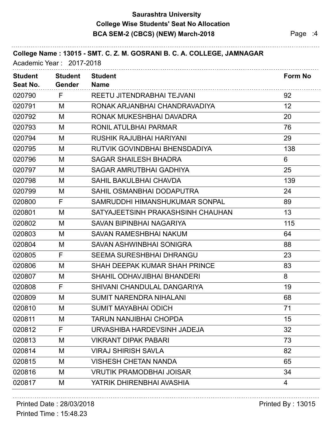#### **Saurashtra University BCA SEM-2 (CBCS) (NEW) March-2018 Page :4 College Wise Students' Seat No Allocation**

| <b>Student</b><br>Seat No. | <b>Student</b><br><b>Gender</b> | <b>Student</b><br><b>Name</b>        | <b>Form No</b> |
|----------------------------|---------------------------------|--------------------------------------|----------------|
| 020790                     | F                               | REETU JITENDRABHAI TEJVANI           | 92             |
| 020791                     | M                               | RONAK ARJANBHAI CHANDRAVADIYA        | 12             |
| 020792                     | M                               | RONAK MUKESHBHAI DAVADRA             | 20             |
| 020793                     | M                               | RONIL ATULBHAI PARMAR                | 76             |
| 020794                     | M                               | <b>RUSHIK RAJUBHAI HARIYANI</b>      | 29             |
| 020795                     | M                               | RUTVIK GOVINDBHAI BHENSDADIYA        | 138            |
| 020796                     | M                               | <b>SAGAR SHAILESH BHADRA</b>         | 6              |
| 020797                     | M                               | <b>SAGAR AMRUTBHAI GADHIYA</b>       | 25             |
| 020798                     | M                               | <b>SAHIL BAKULBHAI CHAVDA</b>        | 139            |
| 020799                     | M                               | SAHIL OSMANBHAI DODAPUTRA            | 24             |
| 020800                     | F                               | SAMRUDDHI HIMANSHUKUMAR SONPAL       | 89             |
| 020801                     | M                               | SATYAJEETSINH PRAKASHSINH CHAUHAN    | 13             |
| 020802                     | M                               | SAVAN BIPINBHAI NAGARIYA             | 115            |
| 020803                     | M                               | <b>SAVAN RAMESHBHAI NAKUM</b>        | 64             |
| 020804                     | M                               | SAVAN ASHWINBHAI SONIGRA             | 88             |
| 020805                     | F                               | <b>SEEMA SURESHBHAI DHRANGU</b>      | 23             |
| 020806                     | M                               | <b>SHAH DEEPAK KUMAR SHAH PRINCE</b> | 83             |
| 020807                     | M                               | <b>SHAHIL ODHAVJIBHAI BHANDERI</b>   | 8              |
| 020808                     | F                               | SHIVANI CHANDULAL DANGARIYA          | 19             |
| 020809                     | M                               | <b>SUMIT NARENDRA NIHALANI</b>       | 68             |
| 020810                     | M                               | <b>SUMIT MAYABHAI ODICH</b>          | 71             |
| 020811                     | M                               | <b>TARUN NANJIBHAI CHOPDA</b>        | 15             |
| 020812                     | F                               | URVASHIBA HARDEVSINH JADEJA          | 32             |
| 020813                     | M                               | <b>VIKRANT DIPAK PABARI</b>          | 73             |
| 020814                     | M                               | <b>VIRAJ SHIRISH SAVLA</b>           | 82             |
| 020815                     | M                               | <b>VISHESH CHETAN NANDA</b>          | 65             |
| 020816                     | M                               | <b>VRUTIK PRAMODBHAI JOISAR</b>      | 34             |
| 020817                     | M                               | YATRIK DHIRENBHAI AVASHIA            | 4              |

#### Printed Date : 28/03/2018 **Printed By : 13015**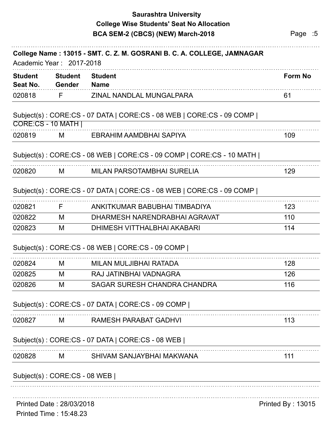### **Saurashtra University BCA SEM-2 (CBCS) (NEW) March-2018** Page :5 **College Wise Students' Seat No Allocation**

| <b>Student</b> | <b>Student</b>                                     | <b>Student</b>                                                       | <b>Form No</b>    |
|----------------|----------------------------------------------------|----------------------------------------------------------------------|-------------------|
| Seat No.       | Gender                                             | <b>Name</b>                                                          |                   |
| 020818         | F                                                  | ZINAL NANDLAL MUNGALPARA                                             | 61                |
|                | CORE:CS - 10 MATH                                  | Subject(s): CORE:CS - 07 DATA   CORE:CS - 08 WEB   CORE:CS - 09 COMP |                   |
| 020819         | M                                                  | EBRAHIM AAMDBHAI SAPIYA                                              | 109               |
|                |                                                    | Subject(s): CORE:CS - 08 WEB   CORE:CS - 09 COMP   CORE:CS - 10 MATH |                   |
| 020820         | M                                                  | <b>MILAN PARSOTAMBHAI SURELIA</b>                                    | 129               |
|                |                                                    | Subject(s): CORE:CS - 07 DATA   CORE:CS - 08 WEB   CORE:CS - 09 COMP |                   |
| 020821         | F                                                  | ANKITKUMAR BABUBHAI TIMBADIYA                                        | 123               |
| 020822         | M                                                  | DHARMESH NARENDRABHAI AGRAVAT                                        | 110               |
| 020823         | M                                                  | DHIMESH VITTHALBHAI AKABARI                                          | 114               |
|                |                                                    | Subject(s): CORE:CS - 08 WEB   CORE:CS - 09 COMP                     |                   |
| 020824         | M                                                  | MILAN MULJIBHAI RATADA                                               | 128               |
| 020825         | M                                                  | RAJ JATINBHAI VADNAGRA                                               | 126               |
| 020826         | M                                                  | <b>SAGAR SURESH CHANDRA CHANDRA</b>                                  | 116               |
|                |                                                    | Subject(s): CORE:CS - 07 DATA   CORE:CS - 09 COMP                    |                   |
| 020827         | M                                                  | <b>RAMESH PARABAT GADHVI</b>                                         | 113               |
|                |                                                    | Subject(s): CORE:CS - 07 DATA   CORE:CS - 08 WEB                     |                   |
| 020828         | M                                                  | SHIVAM SANJAYBHAI MAKWANA                                            | 111               |
|                | Subject(s): CORE:CS - 08 WEB                       |                                                                      |                   |
|                | Printed Date: 28/03/2018<br>Printed Time: 15:48.23 |                                                                      | Printed By: 13015 |